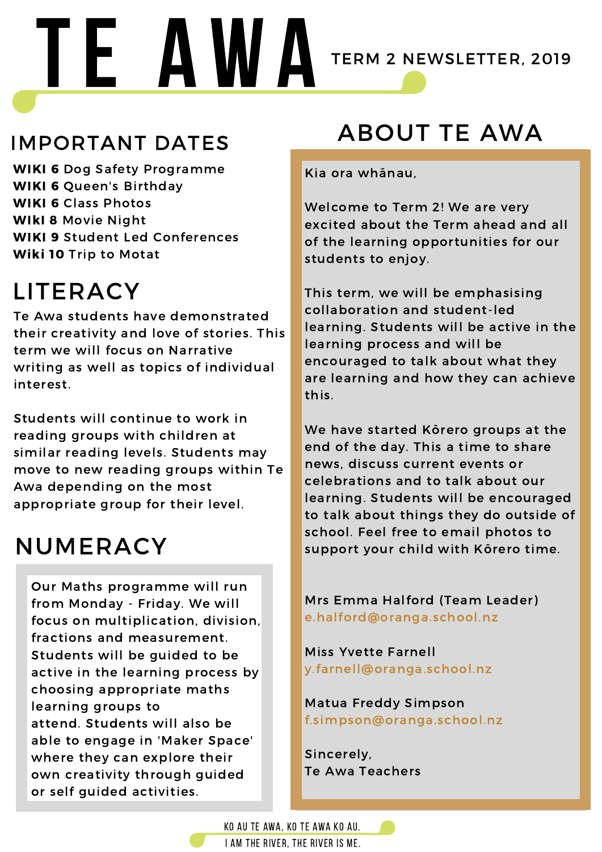#### NUMERACY

#### ABOUT TE AWA

### LITERACY

# TE AWA TERM 2 NEWSLETTER, 2019

#### IMPORTANT DATES

WIKI 6 Dog Safety Programme WIKI 6 Queen's Birthday WIKI 6 Class Photos WIKI 8 Movie Night WIKI 9 Student Led Conferences Wiki 10 Trip to Motat

Our Maths programme will run from Monday - Friday. We will focus on multiplication, division, fractions and measurement. Students will be guided to be active in the learning process by choosing appropriate maths learning groups to attend. Students will also be able to engage in 'Maker Space' where they can explore their own creativity through guided or self guided activities.

Te Awa students have demonstrated their creativity and love of stories. This term we will focus on Narrative writing as well as topics of individual interest.

Students will continue to work in reading groups with children at similar reading levels. Students may move to new reading groups within Te Awa depending on the most appropriate group for their level.

Kia ora whānau,

Welcome to Term 2! We are very excited about the Term ahead and all of the learning opportunities for our students to enjoy.

This term, we will be emphasising collaboration and student-led learning. Students will be active in the learning process and will be encouraged to talk about what they are learning and how they can achieve this.

We have started Kōrero groups at the end of the day. This a time to share

news, discuss current events or celebrations and to talk about our learning. Students will be encouraged to talk about things they do outside of school. Feel free to email photos to support your child with Kōrero time.

#### Mrs Emma Halford (Team Leader) e.halford@oranga.school.nz

Miss Yvette Farnell y.farnell@oranga.school.nz

Matua Freddy Simpson f.simpson@oranga.school.nz

Sincerely, Te Awa Teachers

KO AU TE AWA, KO TE AWA KO AU.



I AM THE RIVER, THE RIVER IS ME.